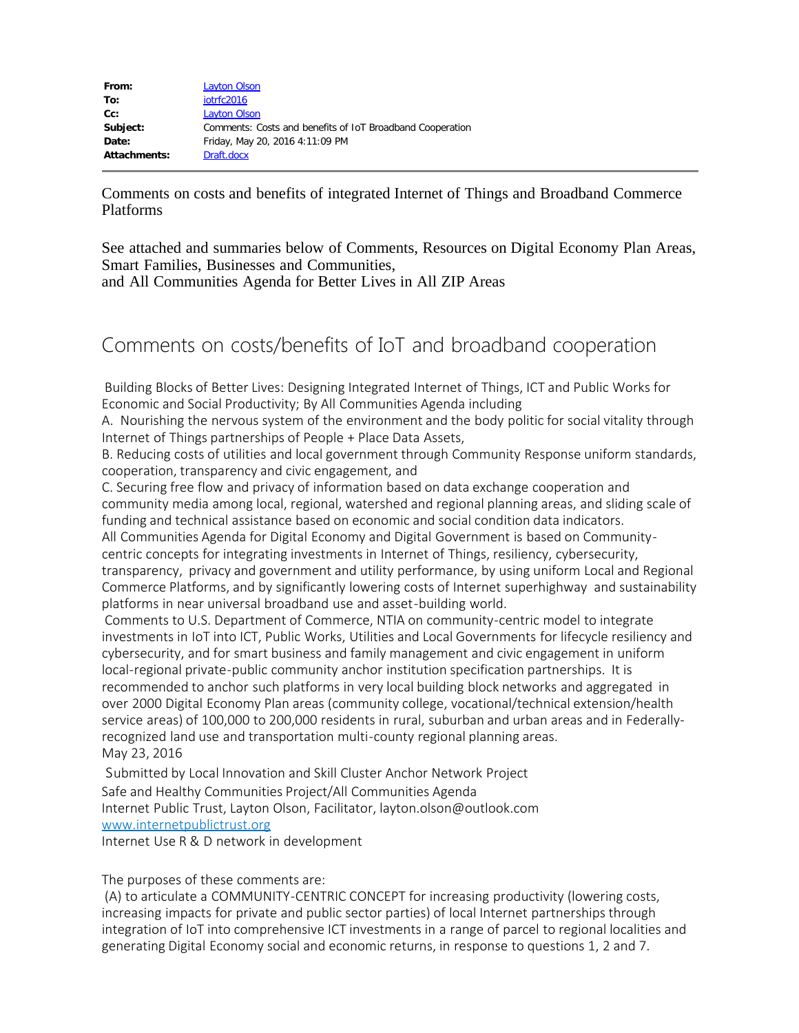| From:        | <b>Layton Olson</b>                                       |
|--------------|-----------------------------------------------------------|
| To:          | iotrfc2016                                                |
| $Cc$ :       | Layton Olson                                              |
| Subject:     | Comments: Costs and benefits of IoT Broadband Cooperation |
| Date:        | Friday, May 20, 2016 4:11:09 PM                           |
| Attachments: | Draft.docx                                                |

Comments on costs and benefits of integrated Internet of Things and Broadband Commerce Platforms

See attached and summaries below of Comments, Resources on Digital Economy Plan Areas, Smart Families, Businesses and Communities, and All Communities Agenda for Better Lives in All ZIP Areas

## Comments on costs/benefits of IoT and broadband cooperation

 Building Blocks of Better Lives: Designing Integrated Internet of Things, ICT and Public Works for Economic and Social Productivity; By All Communities Agenda including

A. Nourishing the nervous system of the environment and the body politic for social vitality through Internet of Things partnerships of People + Place Data Assets,

B. Reducing costs of utilities and local government through Community Response uniform standards, cooperation, transparency and civic engagement, and

C. Securing free flow and privacy of information based on data exchange cooperation and community media among local, regional, watershed and regional planning areas, and sliding scale of funding and technical assistance based on economic and social condition data indicators. All Communities Agenda for Digital Economy and Digital Government is based on Communitycentric concepts for integrating investments in Internet of Things, resiliency, cybersecurity, transparency, privacy and government and utility performance, by using uniform Local and Regional Commerce Platforms, and by significantly lowering costs of Internet superhighway and sustainability platforms in near universal broadband use and asset-building world.

 Comments to U.S. Department of Commerce, NTIA on community-centric model to integrate investments in IoT into ICT, Public Works, Utilities and Local Governments for lifecycle resiliency and cybersecurity, and for smart business and family management and civic engagement in uniform local-regional private-public community anchor institution specification partnerships. It is recommended to anchor such platforms in very local building block networks and aggregated in over 2000 Digital Economy Plan areas (community college, vocational/technical extension/health service areas) of 100,000 to 200,000 residents in rural, suburban and urban areas and in Federallyrecognized land use and transportation multi-county regional planning areas. May 23, 2016

 Submitted by Local Innovation and Skill Cluster Anchor Network Project Safe and Healthy Communities Project/All Communities Agenda Internet Public Trust, Layton Olson, Facilitator, layton.olson@outlook.com [www.internetpublictrust.org](http://www.internetpublictrust.org/)

Internet Use R & D network in development

The purposes of these comments are:

 (A) to articulate a COMMUNITY-CENTRIC CONCEPT for increasing productivity (lowering costs, increasing impacts for private and public sector parties) of local Internet partnerships through integration of IoT into comprehensive ICT investments in a range of parcel to regional localities and generating Digital Economy social and economic returns, in response to questions 1, 2 and 7.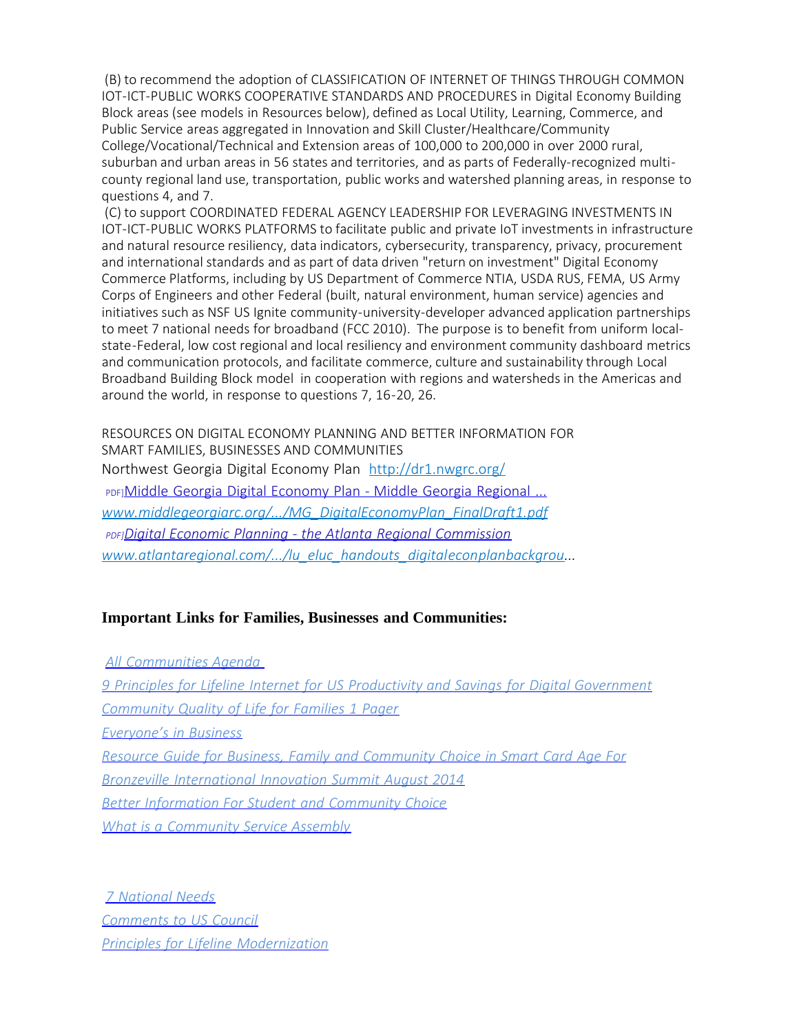(B) to recommend the adoption of CLASSIFICATION OF INTERNET OF THINGS THROUGH COMMON IOT-ICT-PUBLIC WORKS COOPERATIVE STANDARDS AND PROCEDURES in Digital Economy Building Block areas (see models in Resources below), defined as Local Utility, Learning, Commerce, and Public Service areas aggregated in Innovation and Skill Cluster/Healthcare/Community College/Vocational/Technical and Extension areas of 100,000 to 200,000 in over 2000 rural, suburban and urban areas in 56 states and territories, and as parts of Federally-recognized multicounty regional land use, transportation, public works and watershed planning areas, in response to questions 4, and 7.

 (C) to support COORDINATED FEDERAL AGENCY LEADERSHIP FOR LEVERAGING INVESTMENTS IN IOT-ICT-PUBLIC WORKS PLATFORMS to facilitate public and private IoT investments in infrastructure and natural resource resiliency, data indicators, cybersecurity, transparency, privacy, procurement and international standards and as part of data driven "return on investment" Digital Economy Commerce Platforms, including by US Department of Commerce NTIA, USDA RUS, FEMA, US Army Corps of Engineers and other Federal (built, natural environment, human service) agencies and initiatives such as NSF US Ignite community-university-developer advanced application partnerships to meet 7 national needs for broadband (FCC 2010). The purpose is to benefit from uniform localstate-Federal, low cost regional and local resiliency and environment community dashboard metrics and communication protocols, and facilitate commerce, culture and sustainability through Local Broadband Building Block model in cooperation with regions and watersheds in the Americas and around the world, in response to questions 7, 16-20, 26.

RESOURCES ON DIGITAL ECONOMY PLANNING AND BETTER INFORMATION FOR SMART FAMILIES, BUSINESSES AND COMMUNITIES Northwest Georgia Digital Economy Plan http://dr1.nwgrc.org/ PDF]Middle Georgia Digital [Economy](http://www.middlegeorgiarc.org/wp-content/uploads/2014/10/MG_DigitalEconomyPlan_FinalDraft1.pdf) Plan - Middle Georgia Regional ... *[www.middlegeorgiarc.org/.../MG\\_DigitalEconomyPlan\\_FinalDraft1.pdf](http://www.middlegeorgiarc.org/.../MG_DigitalEconomyPlan_FinalDraft1.pdf) PDF]Digital Economic Planning - the Atlanta Regional [Commission](http://www.atlantaregional.com/File%20Library/About%20Us/committee%20agendas/ELUC/lu_eluc_handouts_digitaleconplanbackgroundpaper_2014_03_13.pdf) [www.atlantaregional.com/.../lu\\_eluc\\_handouts\\_digitaleconplanbackgrou.](http://www.atlantaregional.com/.../lu_eluc_handouts_digitaleconplanbackgrou)..*

## **Important Links for Families, Businesses and Communities:**

*All [Communities](http://www.internetpublictrust.org/wp-content/uploads/2015/08/ALL-COMMUNITIES-AGENDA.docx) Agenda 9 Principles for Lifeline Internet for US Productivity and Savings for Digital [Government](http://www.internetpublictrust.org/wp-content/uploads/2015/08/9-Principles-for-Lifeline-Internet-for-US-Productivity-and-Savings-for-Digital-Government.docx) [Community](http://www.internetpublictrust.org/wp-content/uploads/2015/08/Community-Quality-of-Life-for-Families.docx) Quality of Life for Families 1 Pager [Everyone's](http://www.internetpublictrust.org/wp-content/uploads/2015/08/Eveyones-in-Business.docx) in Business Resource Guide for Business, Family and [Community](http://www.internetpublictrust.org/smart-information-for-business-family-and-community-choice-resource-guide-for-community-anchor-institutions-in-the-age-of-smart-card-connectivity/) Choice in Smart Card Age For Bronzeville [International](http://www.internetpublictrust.org/smart-information-for-business-family-and-community-choice-resource-guide-for-community-anchor-institutions-in-the-age-of-smart-card-connectivity/) Innovation Summit August 2014 Better [Information](http://www.internetpublictrust.org/better-information/) For Student and Community Choice What is a [Community](http://www.internetpublictrust.org/what-is-a-community-service-assembly/) Service Assembly*

*7 [National](http://www.internetpublictrust.org/7-national-needs/) Needs [Comments](http://www.internetpublictrust.org/wp-content/uploads/2015/08/Response-RFC-Questions-Universal-Agenda.docx) to US Council Principles for Lifeline [Modernization](http://www.internetpublictrust.org/awareness-resources/)*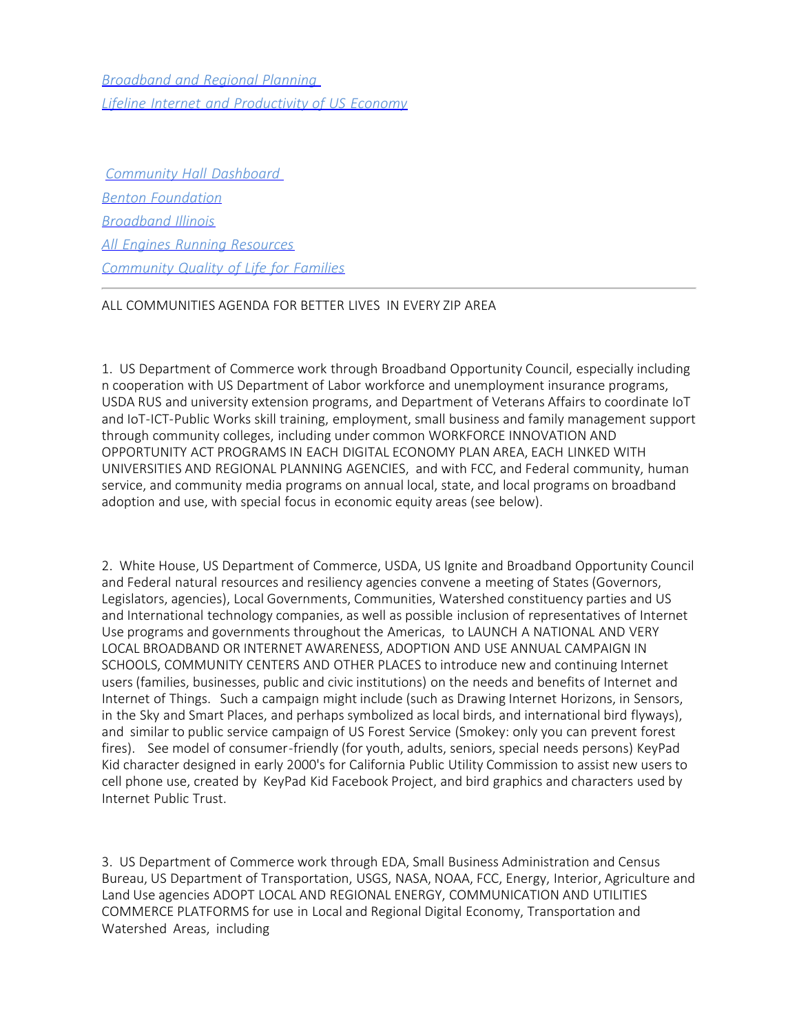*[Broadband](http://www.internetpublictrust.org/broadband-and-regional-planning/) and Regional [Planning](http://www.internetpublictrust.org/broadband-and-regional-planning/)  Lifeline Internet and [Productivity](https://www.benton.org/node/226782) of US Economy*

*Community Hall [Dashboard](http://communityhalldashboard.blogspot.com/)  Benton [Foundation](https://www.benton.org/) [Broadband](http://www.broadbandillinois.org/index.html) Illinois All Engines Running [Resources](http://www.internetpublictrust.org/wp-content/uploads/2015/08/All-Engines-Running-Resources.docx) [Community](http://www.internetpublictrust.org/wp-content/uploads/2015/08/Community-Quality-of-Life-for-Families.docx) Quality of Life for Families*

## ALL COMMUNITIES AGENDA FOR BETTER LIVES IN EVERY ZIP AREA

1. US Department of Commerce work through Broadband Opportunity Council, especially including n cooperation with US Department of Labor workforce and unemployment insurance programs, USDA RUS and university extension programs, and Department of Veterans Affairs to coordinate IoT and IoT-ICT-Public Works skill training, employment, small business and family management support through community colleges, including under common WORKFORCE INNOVATION AND OPPORTUNITY ACT PROGRAMS IN EACH DIGITAL ECONOMY PLAN AREA, EACH LINKED WITH UNIVERSITIES AND REGIONAL PLANNING AGENCIES, and with FCC, and Federal community, human service, and community media programs on annual local, state, and local programs on broadband adoption and use, with special focus in economic equity areas (see below).

2. White House, US Department of Commerce, USDA, US Ignite and Broadband Opportunity Council and Federal natural resources and resiliency agencies convene a meeting of States (Governors, Legislators, agencies), Local Governments, Communities, Watershed constituency parties and US and International technology companies, as well as possible inclusion of representatives of Internet Use programs and governments throughout the Americas, to LAUNCH A NATIONAL AND VERY LOCAL BROADBAND OR INTERNET AWARENESS, ADOPTION AND USE ANNUAL CAMPAIGN IN SCHOOLS, COMMUNITY CENTERS AND OTHER PLACES to introduce new and continuing Internet users (families, businesses, public and civic institutions) on the needs and benefits of Internet and Internet of Things. Such a campaign might include (such as Drawing Internet Horizons, in Sensors, in the Sky and Smart Places, and perhaps symbolized as local birds, and international bird flyways), and similar to public service campaign of US Forest Service (Smokey: only you can prevent forest fires). See model of consumer-friendly (for youth, adults, seniors, special needs persons) KeyPad Kid character designed in early 2000's for California Public Utility Commission to assist new users to cell phone use, created by KeyPad Kid Facebook Project, and bird graphics and characters used by Internet Public Trust.

3. US Department of Commerce work through EDA, Small Business Administration and Census Bureau, US Department of Transportation, USGS, NASA, NOAA, FCC, Energy, Interior, Agriculture and Land Use agencies ADOPT LOCAL AND REGIONAL ENERGY, COMMUNICATION AND UTILITIES COMMERCE PLATFORMS for use in Local and Regional Digital Economy, Transportation and Watershed Areas, including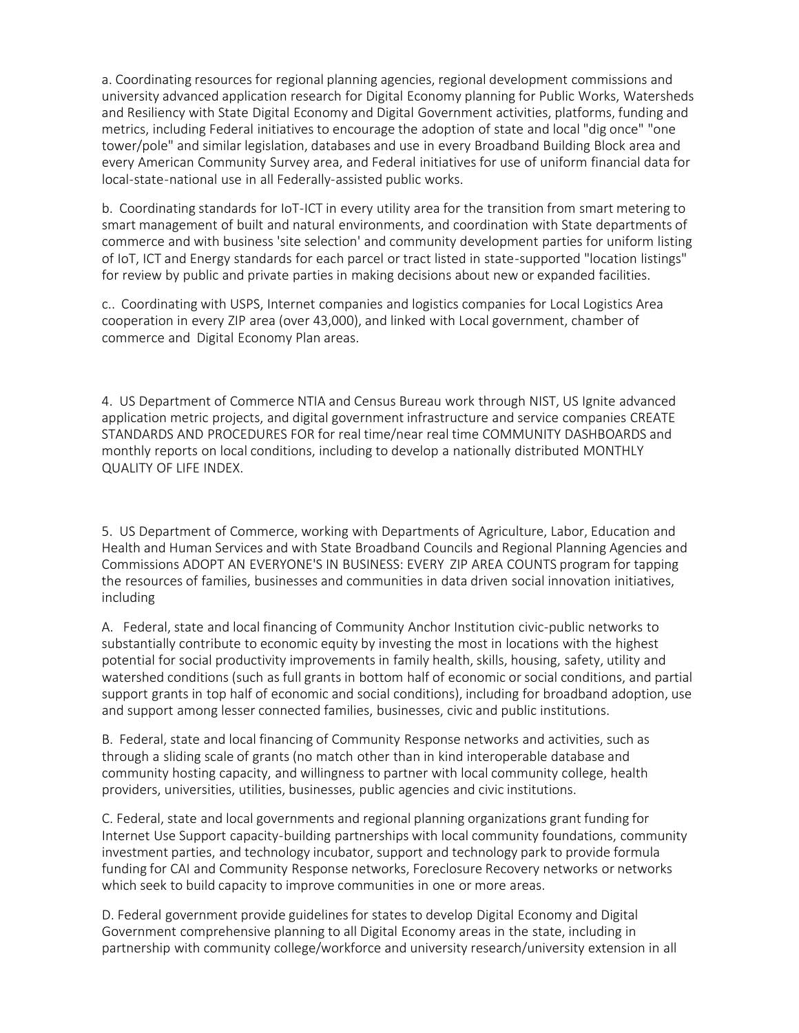a. Coordinating resources for regional planning agencies, regional development commissions and university advanced application research for Digital Economy planning for Public Works, Watersheds and Resiliency with State Digital Economy and Digital Government activities, platforms, funding and metrics, including Federal initiatives to encourage the adoption of state and local "dig once" "one tower/pole" and similar legislation, databases and use in every Broadband Building Block area and every American Community Survey area, and Federal initiatives for use of uniform financial data for local-state-national use in all Federally-assisted public works.

b. Coordinating standards for IoT-ICT in every utility area for the transition from smart metering to smart management of built and natural environments, and coordination with State departments of commerce and with business 'site selection' and community development parties for uniform listing of IoT, ICT and Energy standards for each parcel or tract listed in state-supported "location listings" for review by public and private parties in making decisions about new or expanded facilities.

c.. Coordinating with USPS, Internet companies and logistics companies for Local Logistics Area cooperation in every ZIP area (over 43,000), and linked with Local government, chamber of commerce and Digital Economy Plan areas.

4. US Department of Commerce NTIA and Census Bureau work through NIST, US Ignite advanced application metric projects, and digital government infrastructure and service companies CREATE STANDARDS AND PROCEDURES FOR for real time/near real time COMMUNITY DASHBOARDS and monthly reports on local conditions, including to develop a nationally distributed MONTHLY QUALITY OF LIFE INDEX.

5. US Department of Commerce, working with Departments of Agriculture, Labor, Education and Health and Human Services and with State Broadband Councils and Regional Planning Agencies and Commissions ADOPT AN EVERYONE'S IN BUSINESS: EVERY ZIP AREA COUNTS program for tapping the resources of families, businesses and communities in data driven social innovation initiatives, including

A. Federal, state and local financing of Community Anchor Institution civic-public networks to substantially contribute to economic equity by investing the most in locations with the highest potential for social productivity improvements in family health, skills, housing, safety, utility and watershed conditions (such as full grants in bottom half of economic or social conditions, and partial support grants in top half of economic and social conditions), including for broadband adoption, use and support among lesser connected families, businesses, civic and public institutions.

B. Federal, state and local financing of Community Response networks and activities, such as through a sliding scale of grants (no match other than in kind interoperable database and community hosting capacity, and willingness to partner with local community college, health providers, universities, utilities, businesses, public agencies and civic institutions.

C. Federal, state and local governments and regional planning organizations grant funding for Internet Use Support capacity-building partnerships with local community foundations, community investment parties, and technology incubator, support and technology park to provide formula funding for CAI and Community Response networks, Foreclosure Recovery networks or networks which seek to build capacity to improve communities in one or more areas.

D. Federal government provide guidelines for states to develop Digital Economy and Digital Government comprehensive planning to all Digital Economy areas in the state, including in partnership with community college/workforce and university research/university extension in all